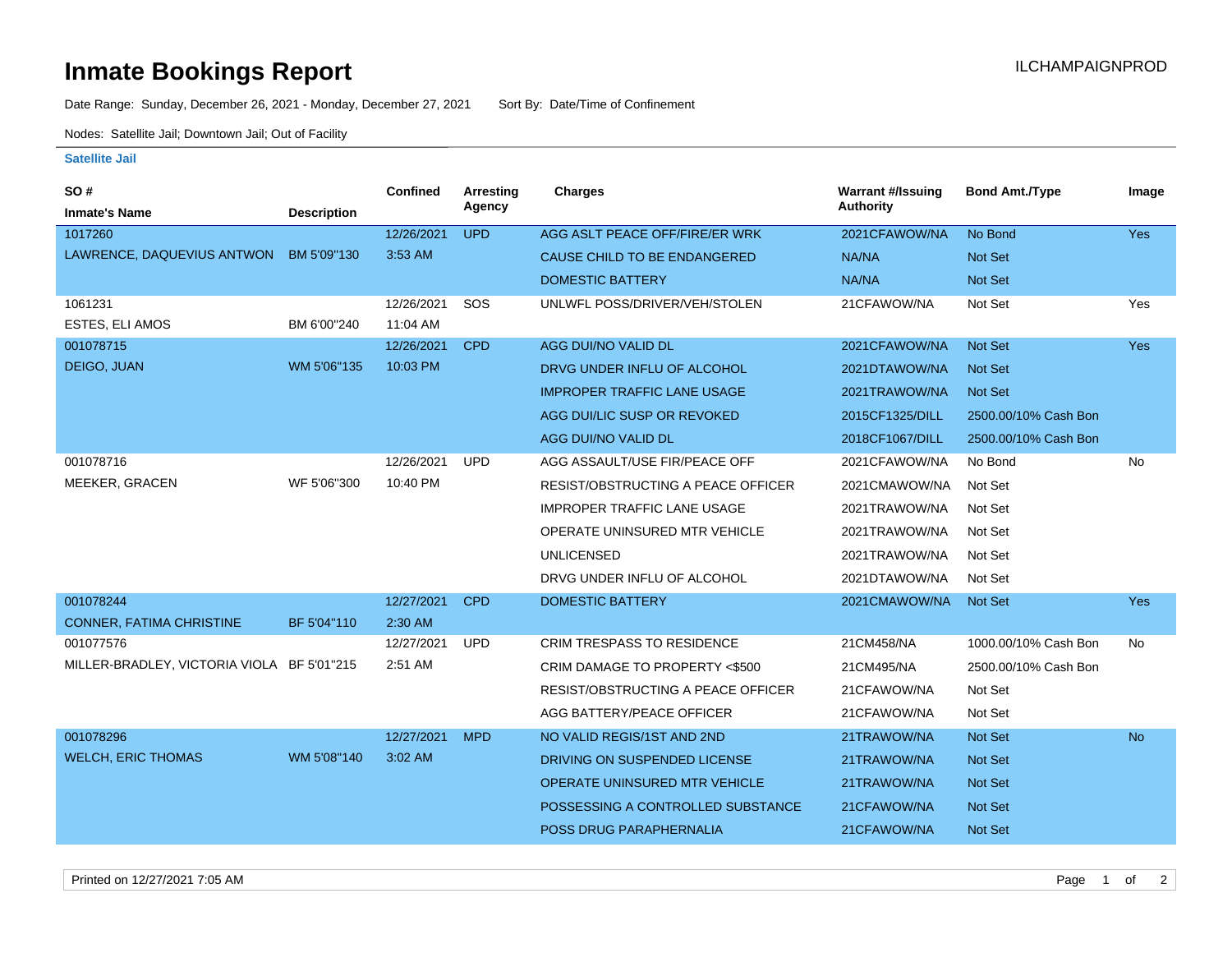## **Inmate Bookings Report Installation ILCHAMPAIGNPROD**

Date Range: Sunday, December 26, 2021 - Monday, December 27, 2021 Sort By: Date/Time of Confinement

Nodes: Satellite Jail; Downtown Jail; Out of Facility

## **Satellite Jail**

| SO#                                        |                    | Confined   | Arresting  | <b>Charges</b>                     | <b>Warrant #/Issuing</b> | <b>Bond Amt./Type</b> | Image     |
|--------------------------------------------|--------------------|------------|------------|------------------------------------|--------------------------|-----------------------|-----------|
| <b>Inmate's Name</b>                       | <b>Description</b> |            | Agency     |                                    | <b>Authority</b>         |                       |           |
| 1017260                                    |                    | 12/26/2021 | <b>UPD</b> | AGG ASLT PEACE OFF/FIRE/ER WRK     | 2021CFAWOW/NA            | No Bond               | Yes       |
| LAWRENCE, DAQUEVIUS ANTWON BM 5'09"130     |                    | 3:53 AM    |            | CAUSE CHILD TO BE ENDANGERED       | NA/NA                    | Not Set               |           |
|                                            |                    |            |            | <b>DOMESTIC BATTERY</b>            | NA/NA                    | Not Set               |           |
| 1061231                                    |                    | 12/26/2021 | SOS        | UNLWFL POSS/DRIVER/VEH/STOLEN      | 21CFAWOW/NA              | Not Set               | Yes       |
| <b>ESTES, ELI AMOS</b>                     | BM 6'00"240        | 11:04 AM   |            |                                    |                          |                       |           |
| 001078715                                  |                    | 12/26/2021 | <b>CPD</b> | AGG DUI/NO VALID DL                | 2021CFAWOW/NA            | Not Set               | Yes       |
| DEIGO, JUAN                                | WM 5'06"135        | 10:03 PM   |            | DRVG UNDER INFLU OF ALCOHOL        | 2021DTAWOW/NA            | <b>Not Set</b>        |           |
|                                            |                    |            |            | <b>IMPROPER TRAFFIC LANE USAGE</b> | 2021TRAWOW/NA            | Not Set               |           |
|                                            |                    |            |            | AGG DUI/LIC SUSP OR REVOKED        | 2015CF1325/DILL          | 2500.00/10% Cash Bon  |           |
|                                            |                    |            |            | AGG DUI/NO VALID DL                | 2018CF1067/DILL          | 2500.00/10% Cash Bon  |           |
| 001078716                                  |                    | 12/26/2021 | <b>UPD</b> | AGG ASSAULT/USE FIR/PEACE OFF      | 2021CFAWOW/NA            | No Bond               | <b>No</b> |
| MEEKER, GRACEN                             | WF 5'06"300        | 10:40 PM   |            | RESIST/OBSTRUCTING A PEACE OFFICER | 2021CMAWOW/NA            | Not Set               |           |
|                                            |                    |            |            | <b>IMPROPER TRAFFIC LANE USAGE</b> | 2021TRAWOW/NA            | Not Set               |           |
|                                            |                    |            |            | OPERATE UNINSURED MTR VEHICLE      | 2021TRAWOW/NA            | Not Set               |           |
|                                            |                    |            |            | <b>UNLICENSED</b>                  | 2021TRAWOW/NA            | Not Set               |           |
|                                            |                    |            |            | DRVG UNDER INFLU OF ALCOHOL        | 2021DTAWOW/NA            | Not Set               |           |
| 001078244                                  |                    | 12/27/2021 | <b>CPD</b> | <b>DOMESTIC BATTERY</b>            | 2021CMAWOW/NA            | Not Set               | Yes       |
| <b>CONNER, FATIMA CHRISTINE</b>            | BF 5'04"110        | 2:30 AM    |            |                                    |                          |                       |           |
| 001077576                                  |                    | 12/27/2021 | <b>UPD</b> | <b>CRIM TRESPASS TO RESIDENCE</b>  | 21CM458/NA               | 1000.00/10% Cash Bon  | <b>No</b> |
| MILLER-BRADLEY, VICTORIA VIOLA BF 5'01"215 |                    | 2:51 AM    |            | CRIM DAMAGE TO PROPERTY <\$500     | 21CM495/NA               | 2500.00/10% Cash Bon  |           |
|                                            |                    |            |            | RESIST/OBSTRUCTING A PEACE OFFICER | 21CFAWOW/NA              | Not Set               |           |
|                                            |                    |            |            | AGG BATTERY/PEACE OFFICER          | 21CFAWOW/NA              | Not Set               |           |
| 001078296                                  |                    | 12/27/2021 | <b>MPD</b> | NO VALID REGIS/1ST AND 2ND         | 21TRAWOW/NA              | Not Set               | <b>No</b> |
| <b>WELCH, ERIC THOMAS</b>                  | WM 5'08"140        | 3:02 AM    |            | DRIVING ON SUSPENDED LICENSE       | 21TRAWOW/NA              | Not Set               |           |
|                                            |                    |            |            | OPERATE UNINSURED MTR VEHICLE      | 21TRAWOW/NA              | Not Set               |           |
|                                            |                    |            |            | POSSESSING A CONTROLLED SUBSTANCE  | 21CFAWOW/NA              | Not Set               |           |
|                                            |                    |            |            | POSS DRUG PARAPHERNALIA            | 21CFAWOW/NA              | Not Set               |           |
|                                            |                    |            |            |                                    |                          |                       |           |